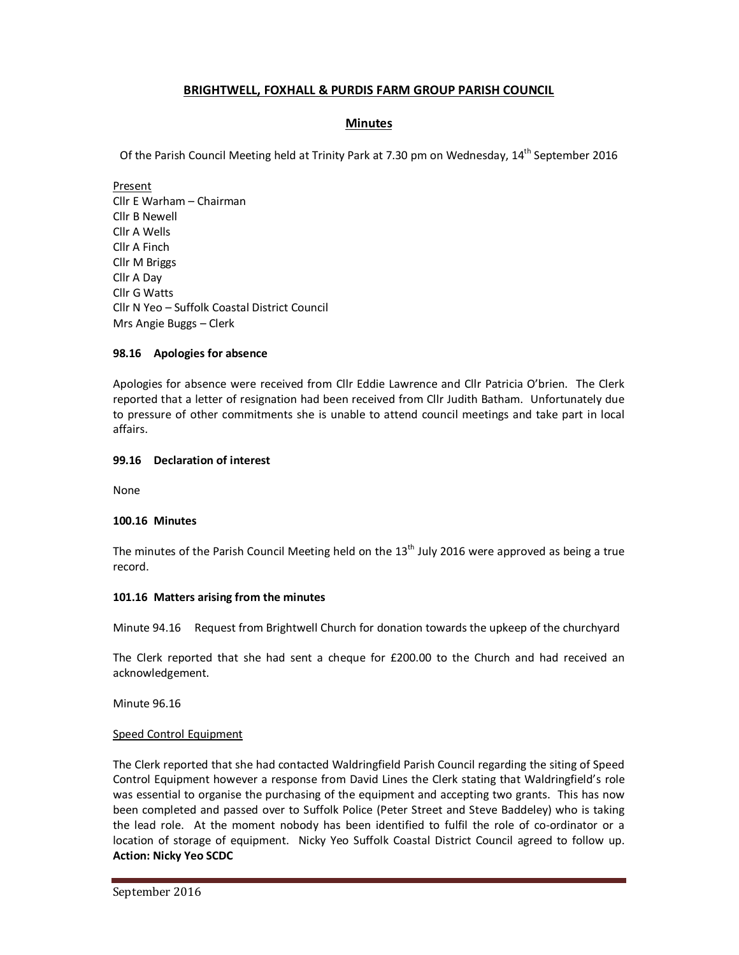# **BRIGHTWELL, FOXHALL & PURDIS FARM GROUP PARISH COUNCIL**

## **Minutes**

Of the Parish Council Meeting held at Trinity Park at 7.30 pm on Wednesday, 14<sup>th</sup> September 2016

Present Cllr E Warham – Chairman Cllr B Newell Cllr A Wells Cllr A Finch Cllr M Briggs Cllr A Day Cllr G Watts Cllr N Yeo – Suffolk Coastal District Council Mrs Angie Buggs – Clerk

## **98.16 Apologies for absence**

Apologies for absence were received from Cllr Eddie Lawrence and Cllr Patricia O'brien. The Clerk reported that a letter of resignation had been received from Cllr Judith Batham. Unfortunately due to pressure of other commitments she is unable to attend council meetings and take part in local affairs.

### **99.16 Declaration of interest**

None

## **100.16 Minutes**

The minutes of the Parish Council Meeting held on the  $13<sup>th</sup>$  July 2016 were approved as being a true record.

#### **101.16 Matters arising from the minutes**

Minute 94.16 Request from Brightwell Church for donation towards the upkeep of the churchyard

The Clerk reported that she had sent a cheque for £200.00 to the Church and had received an acknowledgement.

Minute 96.16

## Speed Control Equipment

The Clerk reported that she had contacted Waldringfield Parish Council regarding the siting of Speed Control Equipment however a response from David Lines the Clerk stating that Waldringfield's role was essential to organise the purchasing of the equipment and accepting two grants. This has now been completed and passed over to Suffolk Police (Peter Street and Steve Baddeley) who is taking the lead role. At the moment nobody has been identified to fulfil the role of co-ordinator or a location of storage of equipment. Nicky Yeo Suffolk Coastal District Council agreed to follow up. **Action: Nicky Yeo SCDC**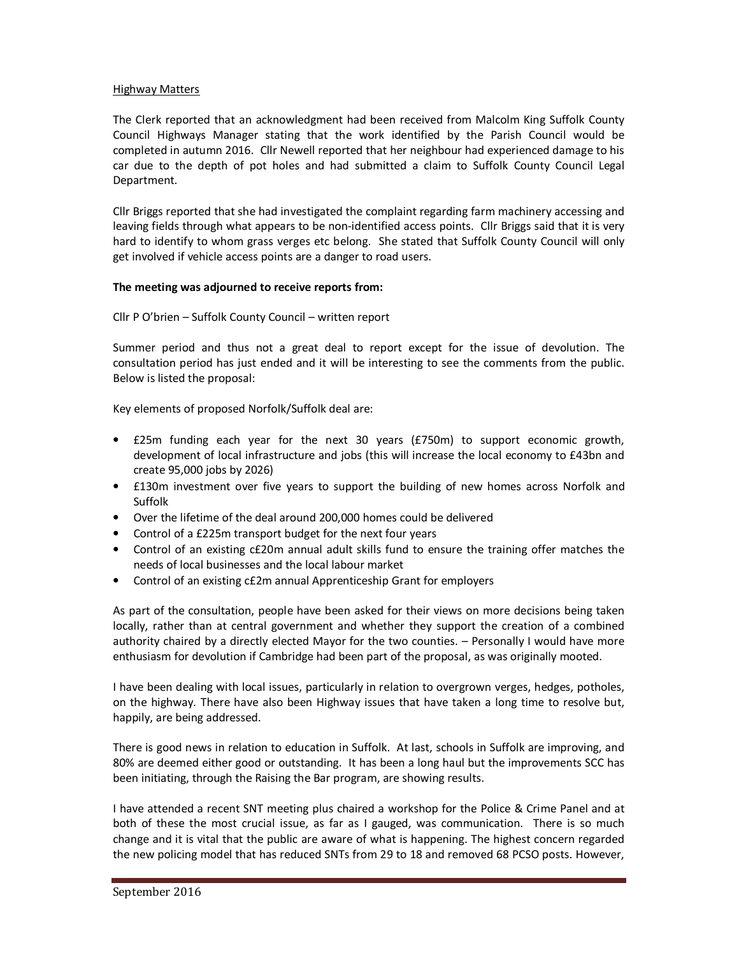#### Highway Matters

The Clerk reported that an acknowledgment had been received from Malcolm King Suffolk County Council Highways Manager stating that the work identified by the Parish Council would be completed in autumn 2016. Cllr Newell reported that her neighbour had experienced damage to his car due to the depth of pot holes and had submitted a claim to Suffolk County Council Legal Department.

Cllr Briggs reported that she had investigated the complaint regarding farm machinery accessing and leaving fields through what appears to be non-identified access points. Cllr Briggs said that it is very hard to identify to whom grass verges etc belong. She stated that Suffolk County Council will only get involved if vehicle access points are a danger to road users.

### **The meeting was adjourned to receive reports from:**

Cllr P O'brien – Suffolk County Council – written report

Summer period and thus not a great deal to report except for the issue of devolution. The consultation period has just ended and it will be interesting to see the comments from the public. Below is listed the proposal:

Key elements of proposed Norfolk/Suffolk deal are:

- £25m funding each year for the next 30 years (£750m) to support economic growth, development of local infrastructure and jobs (this will increase the local economy to £43bn and create 95,000 jobs by 2026)
- £130m investment over five years to support the building of new homes across Norfolk and Suffolk
- Over the lifetime of the deal around 200,000 homes could be delivered
- Control of a £225m transport budget for the next four years
- Control of an existing c£20m annual adult skills fund to ensure the training offer matches the needs of local businesses and the local labour market
- Control of an existing c£2m annual Apprenticeship Grant for employers

As part of the consultation, people have been asked for their views on more decisions being taken locally, rather than at central government and whether they support the creation of a combined authority chaired by a directly elected Mayor for the two counties. – Personally I would have more enthusiasm for devolution if Cambridge had been part of the proposal, as was originally mooted.

I have been dealing with local issues, particularly in relation to overgrown verges, hedges, potholes, on the highway. There have also been Highway issues that have taken a long time to resolve but, happily, are being addressed.

There is good news in relation to education in Suffolk. At last, schools in Suffolk are improving, and 80% are deemed either good or outstanding. It has been a long haul but the improvements SCC has been initiating, through the Raising the Bar program, are showing results.

I have attended a recent SNT meeting plus chaired a workshop for the Police & Crime Panel and at both of these the most crucial issue, as far as I gauged, was communication. There is so much change and it is vital that the public are aware of what is happening. The highest concern regarded the new policing model that has reduced SNTs from 29 to 18 and removed 68 PCSO posts. However,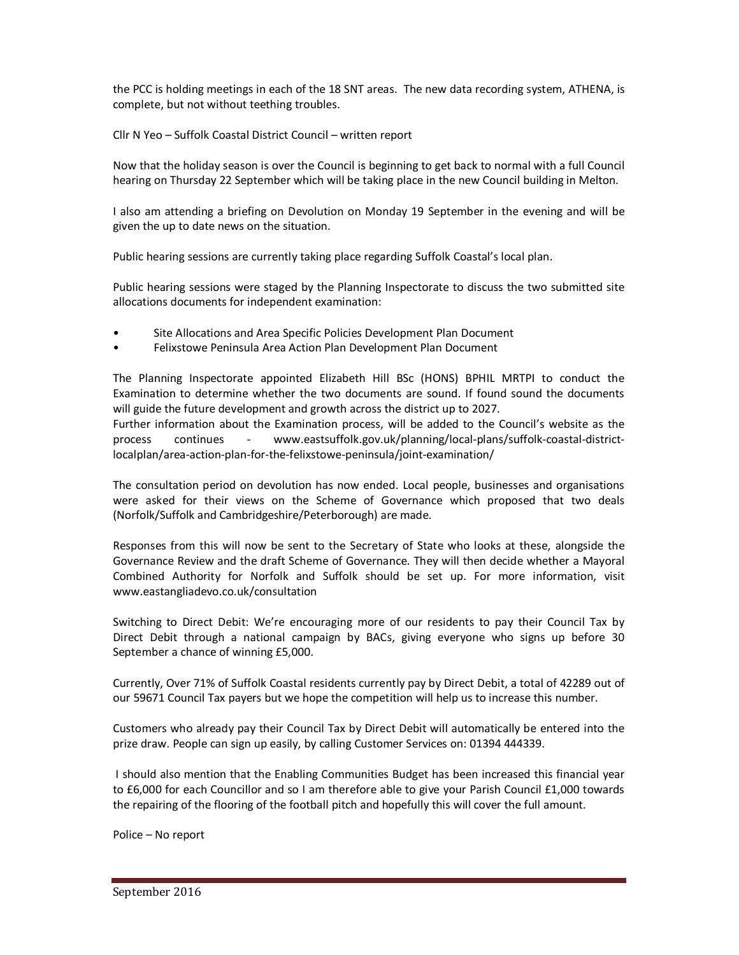the PCC is holding meetings in each of the 18 SNT areas. The new data recording system, ATHENA, is complete, but not without teething troubles.

Cllr N Yeo – Suffolk Coastal District Council – written report

Now that the holiday season is over the Council is beginning to get back to normal with a full Council hearing on Thursday 22 September which will be taking place in the new Council building in Melton.

I also am attending a briefing on Devolution on Monday 19 September in the evening and will be given the up to date news on the situation.

Public hearing sessions are currently taking place regarding Suffolk Coastal's local plan.

Public hearing sessions were staged by the Planning Inspectorate to discuss the two submitted site allocations documents for independent examination:

- Site Allocations and Area Specific Policies Development Plan Document
- Felixstowe Peninsula Area Action Plan Development Plan Document

The Planning Inspectorate appointed Elizabeth Hill BSc (HONS) BPHIL MRTPI to conduct the Examination to determine whether the two documents are sound. If found sound the documents will guide the future development and growth across the district up to 2027.

Further information about the Examination process, will be added to the Council's website as the process continues - www.eastsuffolk.gov.uk/planning/local-plans/suffolk-coastal-districtlocalplan/area-action-plan-for-the-felixstowe-peninsula/joint-examination/

The consultation period on devolution has now ended. Local people, businesses and organisations were asked for their views on the Scheme of Governance which proposed that two deals (Norfolk/Suffolk and Cambridgeshire/Peterborough) are made.

Responses from this will now be sent to the Secretary of State who looks at these, alongside the Governance Review and the draft Scheme of Governance. They will then decide whether a Mayoral Combined Authority for Norfolk and Suffolk should be set up. For more information, visit www.eastangliadevo.co.uk/consultation

Switching to Direct Debit: We're encouraging more of our residents to pay their Council Tax by Direct Debit through a national campaign by BACs, giving everyone who signs up before 30 September a chance of winning £5,000.

Currently, Over 71% of Suffolk Coastal residents currently pay by Direct Debit, a total of 42289 out of our 59671 Council Tax payers but we hope the competition will help us to increase this number.

Customers who already pay their Council Tax by Direct Debit will automatically be entered into the prize draw. People can sign up easily, by calling Customer Services on: 01394 444339.

 I should also mention that the Enabling Communities Budget has been increased this financial year to £6,000 for each Councillor and so I am therefore able to give your Parish Council £1,000 towards the repairing of the flooring of the football pitch and hopefully this will cover the full amount.

Police – No report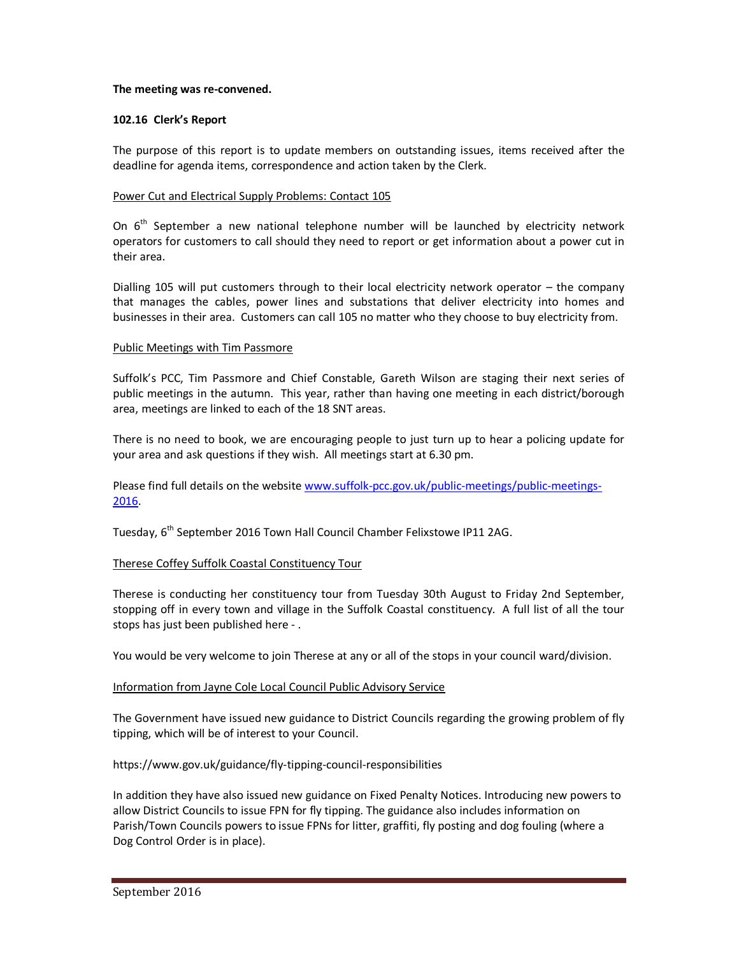#### **The meeting was re-convened.**

### **102.16 Clerk's Report**

The purpose of this report is to update members on outstanding issues, items received after the deadline for agenda items, correspondence and action taken by the Clerk.

### Power Cut and Electrical Supply Problems: Contact 105

On  $6<sup>th</sup>$  September a new national telephone number will be launched by electricity network operators for customers to call should they need to report or get information about a power cut in their area.

Dialling 105 will put customers through to their local electricity network operator – the company that manages the cables, power lines and substations that deliver electricity into homes and businesses in their area. Customers can call 105 no matter who they choose to buy electricity from.

### Public Meetings with Tim Passmore

Suffolk's PCC, Tim Passmore and Chief Constable, Gareth Wilson are staging their next series of public meetings in the autumn. This year, rather than having one meeting in each district/borough area, meetings are linked to each of the 18 SNT areas.

There is no need to book, we are encouraging people to just turn up to hear a policing update for your area and ask questions if they wish. All meetings start at 6.30 pm.

Please find full details on the website www.suffolk-pcc.gov.uk/public-meetings/public-meetings-2016.

Tuesday, 6<sup>th</sup> September 2016 Town Hall Council Chamber Felixstowe IP11 2AG.

## Therese Coffey Suffolk Coastal Constituency Tour

Therese is conducting her constituency tour from Tuesday 30th August to Friday 2nd September, stopping off in every town and village in the Suffolk Coastal constituency. A full list of all the tour stops has just been published here - .

You would be very welcome to join Therese at any or all of the stops in your council ward/division.

#### Information from Jayne Cole Local Council Public Advisory Service

The Government have issued new guidance to District Councils regarding the growing problem of fly tipping, which will be of interest to your Council.

#### https://www.gov.uk/guidance/fly-tipping-council-responsibilities

In addition they have also issued new guidance on Fixed Penalty Notices. Introducing new powers to allow District Councils to issue FPN for fly tipping. The guidance also includes information on Parish/Town Councils powers to issue FPNs for litter, graffiti, fly posting and dog fouling (where a Dog Control Order is in place).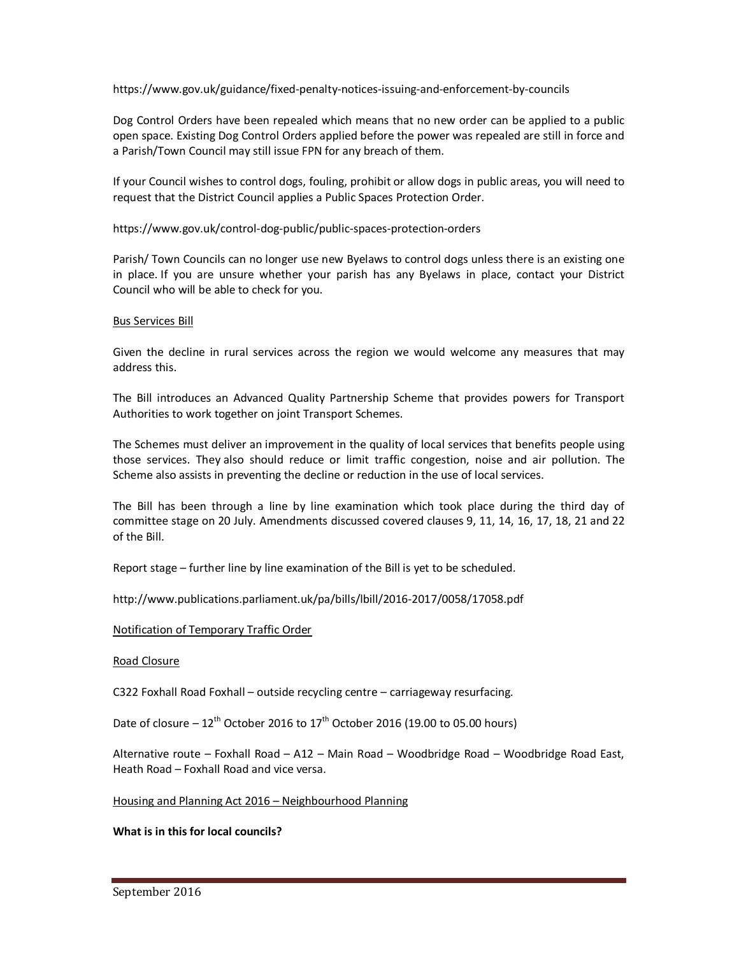https://www.gov.uk/guidance/fixed-penalty-notices-issuing-and-enforcement-by-councils

Dog Control Orders have been repealed which means that no new order can be applied to a public open space. Existing Dog Control Orders applied before the power was repealed are still in force and a Parish/Town Council may still issue FPN for any breach of them.

If your Council wishes to control dogs, fouling, prohibit or allow dogs in public areas, you will need to request that the District Council applies a Public Spaces Protection Order.

https://www.gov.uk/control-dog-public/public-spaces-protection-orders

Parish/ Town Councils can no longer use new Byelaws to control dogs unless there is an existing one in place. If you are unsure whether your parish has any Byelaws in place, contact your District Council who will be able to check for you.

### Bus Services Bill

Given the decline in rural services across the region we would welcome any measures that may address this.

The Bill introduces an Advanced Quality Partnership Scheme that provides powers for Transport Authorities to work together on joint Transport Schemes.

The Schemes must deliver an improvement in the quality of local services that benefits people using those services. They also should reduce or limit traffic congestion, noise and air pollution. The Scheme also assists in preventing the decline or reduction in the use of local services.

The Bill has been through a line by line examination which took place during the third day of committee stage on 20 July. Amendments discussed covered clauses 9, 11, 14, 16, 17, 18, 21 and 22 of the Bill.

Report stage – further line by line examination of the Bill is yet to be scheduled.

http://www.publications.parliament.uk/pa/bills/lbill/2016-2017/0058/17058.pdf

#### Notification of Temporary Traffic Order

#### Road Closure

C322 Foxhall Road Foxhall – outside recycling centre – carriageway resurfacing.

Date of closure –  $12^{th}$  October 2016 to  $17^{th}$  October 2016 (19.00 to 05.00 hours)

Alternative route – Foxhall Road – A12 – Main Road – Woodbridge Road – Woodbridge Road East, Heath Road – Foxhall Road and vice versa.

### Housing and Planning Act 2016 – Neighbourhood Planning

## **What is in this for local councils?**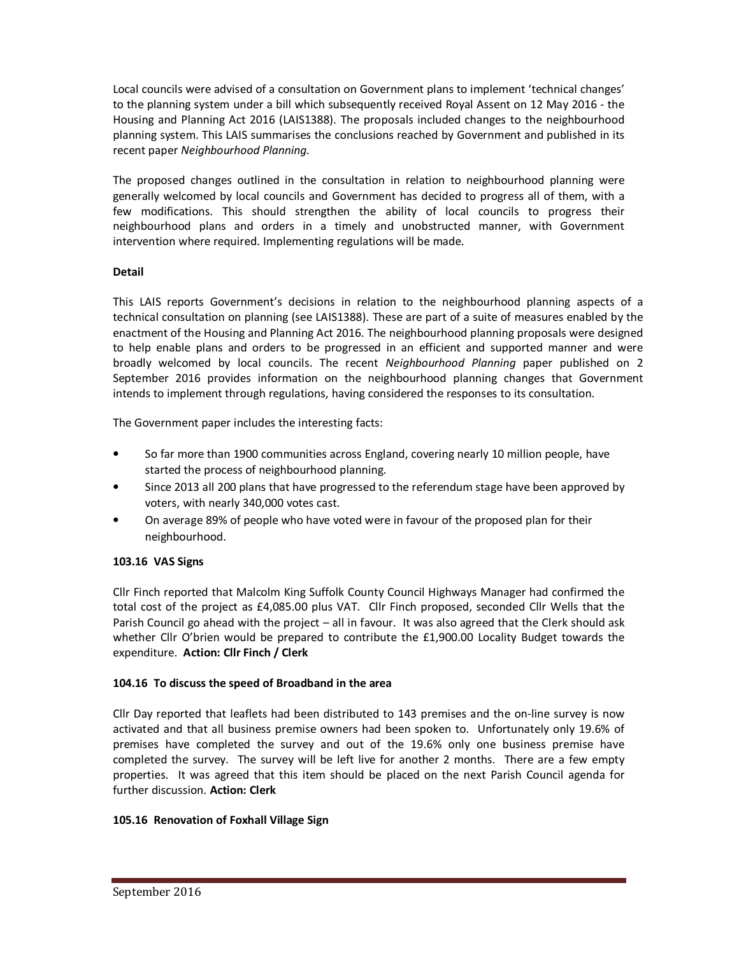Local councils were advised of a consultation on Government plans to implement 'technical changes' to the planning system under a bill which subsequently received Royal Assent on 12 May 2016 - the Housing and Planning Act 2016 (LAIS1388). The proposals included changes to the neighbourhood planning system. This LAIS summarises the conclusions reached by Government and published in its recent paper *Neighbourhood Planning*.

The proposed changes outlined in the consultation in relation to neighbourhood planning were generally welcomed by local councils and Government has decided to progress all of them, with a few modifications. This should strengthen the ability of local councils to progress their neighbourhood plans and orders in a timely and unobstructed manner, with Government intervention where required. Implementing regulations will be made.

# **Detail**

This LAIS reports Government's decisions in relation to the neighbourhood planning aspects of a technical consultation on planning (see LAIS1388). These are part of a suite of measures enabled by the enactment of the Housing and Planning Act 2016. The neighbourhood planning proposals were designed to help enable plans and orders to be progressed in an efficient and supported manner and were broadly welcomed by local councils. The recent *Neighbourhood Planning* paper published on 2 September 2016 provides information on the neighbourhood planning changes that Government intends to implement through regulations, having considered the responses to its consultation.

The Government paper includes the interesting facts:

- So far more than 1900 communities across England, covering nearly 10 million people, have started the process of neighbourhood planning.
- Since 2013 all 200 plans that have progressed to the referendum stage have been approved by voters, with nearly 340,000 votes cast.
- On average 89% of people who have voted were in favour of the proposed plan for their neighbourhood.

# **103.16 VAS Signs**

Cllr Finch reported that Malcolm King Suffolk County Council Highways Manager had confirmed the total cost of the project as £4,085.00 plus VAT. Cllr Finch proposed, seconded Cllr Wells that the Parish Council go ahead with the project – all in favour. It was also agreed that the Clerk should ask whether Cllr O'brien would be prepared to contribute the £1,900.00 Locality Budget towards the expenditure. **Action: Cllr Finch / Clerk** 

## **104.16 To discuss the speed of Broadband in the area**

Cllr Day reported that leaflets had been distributed to 143 premises and the on-line survey is now activated and that all business premise owners had been spoken to. Unfortunately only 19.6% of premises have completed the survey and out of the 19.6% only one business premise have completed the survey. The survey will be left live for another 2 months. There are a few empty properties. It was agreed that this item should be placed on the next Parish Council agenda for further discussion. **Action: Clerk** 

## **105.16 Renovation of Foxhall Village Sign**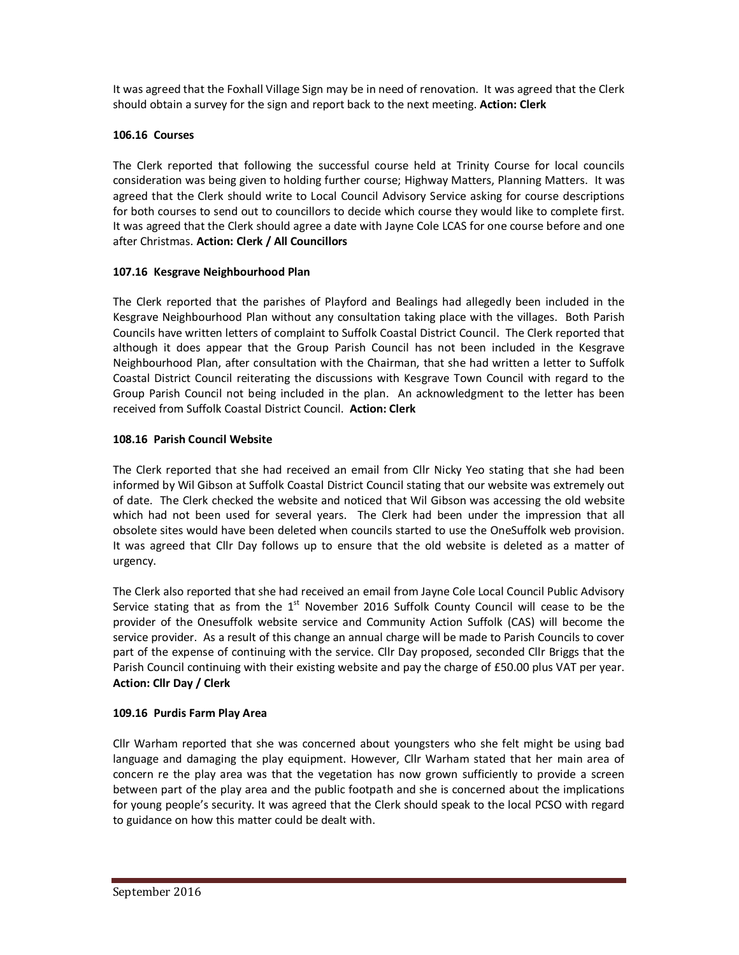It was agreed that the Foxhall Village Sign may be in need of renovation. It was agreed that the Clerk should obtain a survey for the sign and report back to the next meeting. **Action: Clerk** 

# **106.16 Courses**

The Clerk reported that following the successful course held at Trinity Course for local councils consideration was being given to holding further course; Highway Matters, Planning Matters. It was agreed that the Clerk should write to Local Council Advisory Service asking for course descriptions for both courses to send out to councillors to decide which course they would like to complete first. It was agreed that the Clerk should agree a date with Jayne Cole LCAS for one course before and one after Christmas. **Action: Clerk / All Councillors** 

# **107.16 Kesgrave Neighbourhood Plan**

The Clerk reported that the parishes of Playford and Bealings had allegedly been included in the Kesgrave Neighbourhood Plan without any consultation taking place with the villages. Both Parish Councils have written letters of complaint to Suffolk Coastal District Council. The Clerk reported that although it does appear that the Group Parish Council has not been included in the Kesgrave Neighbourhood Plan, after consultation with the Chairman, that she had written a letter to Suffolk Coastal District Council reiterating the discussions with Kesgrave Town Council with regard to the Group Parish Council not being included in the plan. An acknowledgment to the letter has been received from Suffolk Coastal District Council. **Action: Clerk** 

# **108.16 Parish Council Website**

The Clerk reported that she had received an email from Cllr Nicky Yeo stating that she had been informed by Wil Gibson at Suffolk Coastal District Council stating that our website was extremely out of date. The Clerk checked the website and noticed that Wil Gibson was accessing the old website which had not been used for several years. The Clerk had been under the impression that all obsolete sites would have been deleted when councils started to use the OneSuffolk web provision. It was agreed that Cllr Day follows up to ensure that the old website is deleted as a matter of urgency.

The Clerk also reported that she had received an email from Jayne Cole Local Council Public Advisory Service stating that as from the  $1<sup>st</sup>$  November 2016 Suffolk County Council will cease to be the provider of the Onesuffolk website service and Community Action Suffolk (CAS) will become the service provider. As a result of this change an annual charge will be made to Parish Councils to cover part of the expense of continuing with the service. Cllr Day proposed, seconded Cllr Briggs that the Parish Council continuing with their existing website and pay the charge of £50.00 plus VAT per year. **Action: Cllr Day / Clerk** 

# **109.16 Purdis Farm Play Area**

Cllr Warham reported that she was concerned about youngsters who she felt might be using bad language and damaging the play equipment. However, Cllr Warham stated that her main area of concern re the play area was that the vegetation has now grown sufficiently to provide a screen between part of the play area and the public footpath and she is concerned about the implications for young people's security. It was agreed that the Clerk should speak to the local PCSO with regard to guidance on how this matter could be dealt with.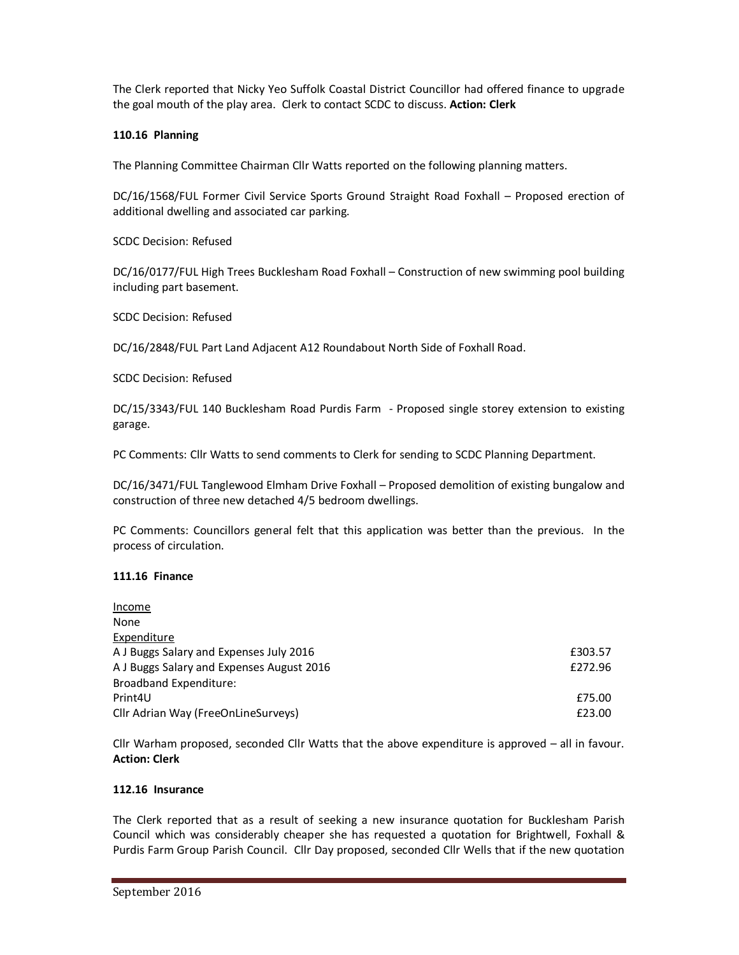The Clerk reported that Nicky Yeo Suffolk Coastal District Councillor had offered finance to upgrade the goal mouth of the play area. Clerk to contact SCDC to discuss. **Action: Clerk**

### **110.16 Planning**

The Planning Committee Chairman Cllr Watts reported on the following planning matters.

DC/16/1568/FUL Former Civil Service Sports Ground Straight Road Foxhall – Proposed erection of additional dwelling and associated car parking.

SCDC Decision: Refused

DC/16/0177/FUL High Trees Bucklesham Road Foxhall – Construction of new swimming pool building including part basement.

SCDC Decision: Refused

DC/16/2848/FUL Part Land Adjacent A12 Roundabout North Side of Foxhall Road.

SCDC Decision: Refused

DC/15/3343/FUL 140 Bucklesham Road Purdis Farm - Proposed single storey extension to existing garage.

PC Comments: Cllr Watts to send comments to Clerk for sending to SCDC Planning Department.

DC/16/3471/FUL Tanglewood Elmham Drive Foxhall – Proposed demolition of existing bungalow and construction of three new detached 4/5 bedroom dwellings.

PC Comments: Councillors general felt that this application was better than the previous. In the process of circulation.

#### **111.16 Finance**

| Income                                    |         |
|-------------------------------------------|---------|
| None                                      |         |
| Expenditure                               |         |
| A J Buggs Salary and Expenses July 2016   | £303.57 |
| A J Buggs Salary and Expenses August 2016 | £272.96 |
| Broadband Expenditure:                    |         |
| Print <sub>4U</sub>                       | £75.00  |
| Cllr Adrian Way (FreeOnLineSurveys)       | £23.00  |

Cllr Warham proposed, seconded Cllr Watts that the above expenditure is approved – all in favour. **Action: Clerk** 

#### **112.16 Insurance**

The Clerk reported that as a result of seeking a new insurance quotation for Bucklesham Parish Council which was considerably cheaper she has requested a quotation for Brightwell, Foxhall & Purdis Farm Group Parish Council. Cllr Day proposed, seconded Cllr Wells that if the new quotation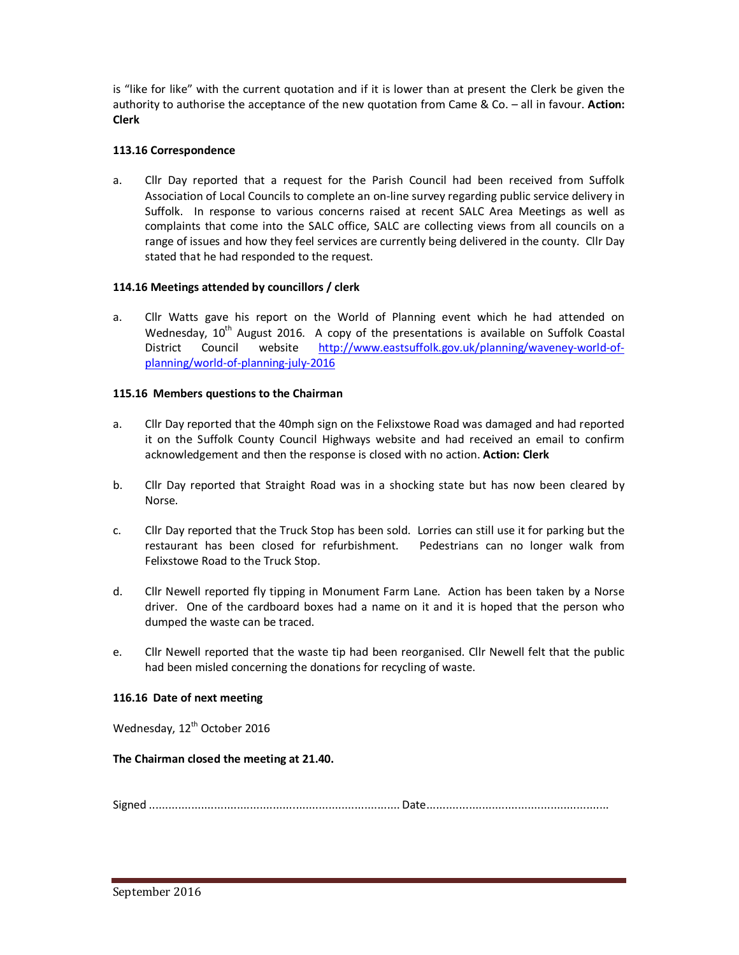is "like for like" with the current quotation and if it is lower than at present the Clerk be given the authority to authorise the acceptance of the new quotation from Came & Co. – all in favour. **Action: Clerk** 

## **113.16 Correspondence**

a. Cllr Day reported that a request for the Parish Council had been received from Suffolk Association of Local Councils to complete an on-line survey regarding public service delivery in Suffolk. In response to various concerns raised at recent SALC Area Meetings as well as complaints that come into the SALC office, SALC are collecting views from all councils on a range of issues and how they feel services are currently being delivered in the county. Cllr Day stated that he had responded to the request.

# **114.16 Meetings attended by councillors / clerk**

a. Cllr Watts gave his report on the World of Planning event which he had attended on Wednesday,  $10^{th}$  August 2016. A copy of the presentations is available on Suffolk Coastal District Council website http://www.eastsuffolk.gov.uk/planning/waveney-world-ofplanning/world-of-planning-july-2016

# **115.16 Members questions to the Chairman**

- a. Cllr Day reported that the 40mph sign on the Felixstowe Road was damaged and had reported it on the Suffolk County Council Highways website and had received an email to confirm acknowledgement and then the response is closed with no action. **Action: Clerk**
- b. Cllr Day reported that Straight Road was in a shocking state but has now been cleared by Norse.
- c. Cllr Day reported that the Truck Stop has been sold. Lorries can still use it for parking but the restaurant has been closed for refurbishment. Pedestrians can no longer walk from Felixstowe Road to the Truck Stop.
- d. Cllr Newell reported fly tipping in Monument Farm Lane. Action has been taken by a Norse driver. One of the cardboard boxes had a name on it and it is hoped that the person who dumped the waste can be traced.
- e. Cllr Newell reported that the waste tip had been reorganised. Cllr Newell felt that the public had been misled concerning the donations for recycling of waste.

## **116.16 Date of next meeting**

Wednesday, 12<sup>th</sup> October 2016

## **The Chairman closed the meeting at 21.40.**

Signed ............................................................................. Date ........................................................